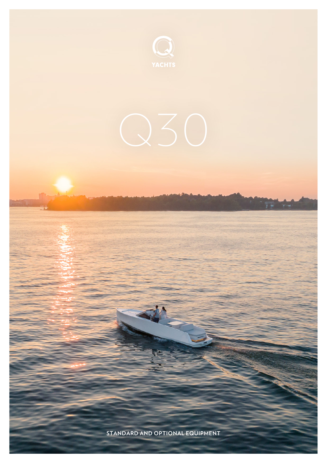

**STANDARD AND OPTIONAL EQUIPMENT**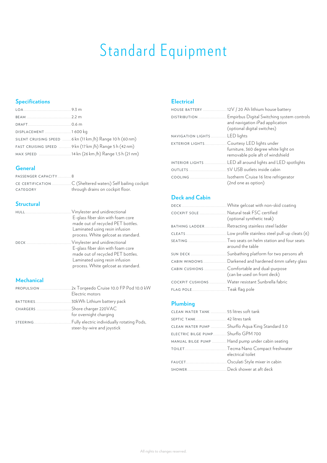# Standard Equipment

# **Specifications**

| DISPLACEMENT  1600 kg                                     |  |
|-----------------------------------------------------------|--|
| SILENT CRUISING SPEED  6 kn (11 km /h) Range 10 h (60 nm) |  |
| FAST CRUISING SPEED  9 kn (17 km /h) Range 5 h (42 nm)    |  |
| MAX SPEED 14 kn (26 km /h) Range 1,5 h (21 nm)            |  |

#### **General**

| PASSENGER CAPACITY8 |                                  |
|---------------------|----------------------------------|
|                     |                                  |
| CATEGORY            | through drains on cockpit floor. |

# **Structural**

|             | E-glass fiber skin with foam core   |
|-------------|-------------------------------------|
|             | made out of recycled PET bottles.   |
|             | Laminated using resin infusion      |
|             | process. White gelcoat as standard. |
| <b>DECK</b> | Vinylester and unidirectional       |
|             | E-glass fiber skin with foam core   |
|             | made out of recycled PET bottles.   |
|             | Laminated using resin infusion      |
|             | process. White gelcoat as standard. |

# **Mechanical**

| <b>PROPULSION</b> | 2x Torgeedo Cruise 10.0 FP Pod 10.0 kW<br>Electric motors |
|-------------------|-----------------------------------------------------------|
|                   |                                                           |
| CHARGERS          | . Shore charger 220VAC<br>for overnight charging          |
|                   | steer-by-wire and joystick                                |

#### **Electrical**

|                                          | HOUSE BATTERY 12V / 20 Ah lithium house battery                                                              |
|------------------------------------------|--------------------------------------------------------------------------------------------------------------|
| <b>DISTRIBUTION</b>                      | Empirbus Digital Switching system controls<br>and navigation iPad application<br>(optional digital switches) |
| NAVIGATION LIGHTSLED lights              |                                                                                                              |
| EXTERIOR LIGHTSCourtesy LED lights under | furniture, 360 degree white light on<br>removable pole aft of windshield                                     |
|                                          | INTERIOR LIGHTS LED all around lights and LED spotlights                                                     |
|                                          |                                                                                                              |
|                                          | (2nd one as option)                                                                                          |

# **Deck and Cabin**

| COCKPIT SOLE  Natural teak FSC certified | (optional synthetic teak)                                                  |
|------------------------------------------|----------------------------------------------------------------------------|
| <b>BATHING LADDER</b>                    | Retracting stainless steel ladder                                          |
|                                          |                                                                            |
|                                          | around the table                                                           |
|                                          | SUN DECK  Sunbathing platform for two persons aft                          |
|                                          | CABIN WINDOWS  Darkened and hardened 6mm safety glass                      |
|                                          | CABIN CUSHIONS Comfortable and dual-purpose<br>(can be used on front deck) |
|                                          | COCKPIT CUSHIONS  Water resistant Sunbrella fabric                         |
| FLAG POLETeak flag pole                  |                                                                            |

### **Plumbing**

| CLEAN WATER TANK  55 litres soft tank |                                                          |
|---------------------------------------|----------------------------------------------------------|
|                                       |                                                          |
|                                       | CLEAN WATER PUMP  Shurflo Aqua King Standard 3.0         |
| ELECTRIC BILGE PUMP Shurflo GPM 700   |                                                          |
|                                       | MANUAL BILGE PUMP  Hand pump under cabin seating         |
|                                       | TOILETTecma Nano Compact freshwater<br>electrical toilet |
|                                       | FAUCET Osculati Style mixer in cabin                     |
| SHOWER Deck shower at aft deck        |                                                          |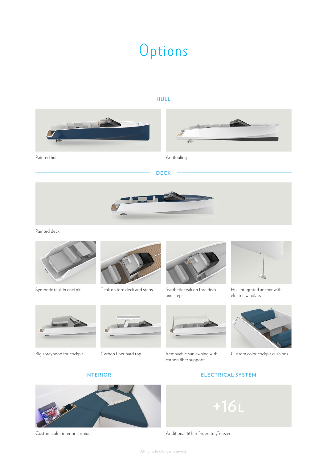# Options







Painted hull **Antifouling** 

#### **DECK**



Painted deck





Synthetic teak in cockpit Teak on fore deck and steps



Synthetic teak on fore deck and steps



Removable sun awning with carbon fiber supports



Hull integrated anchor with electric windlass









#### **INTERIOR ELECTRICAL SYSTEM**





Custom color interior cushions **Additional 16** L refrigerator/freezer

All rights to changes reserved.